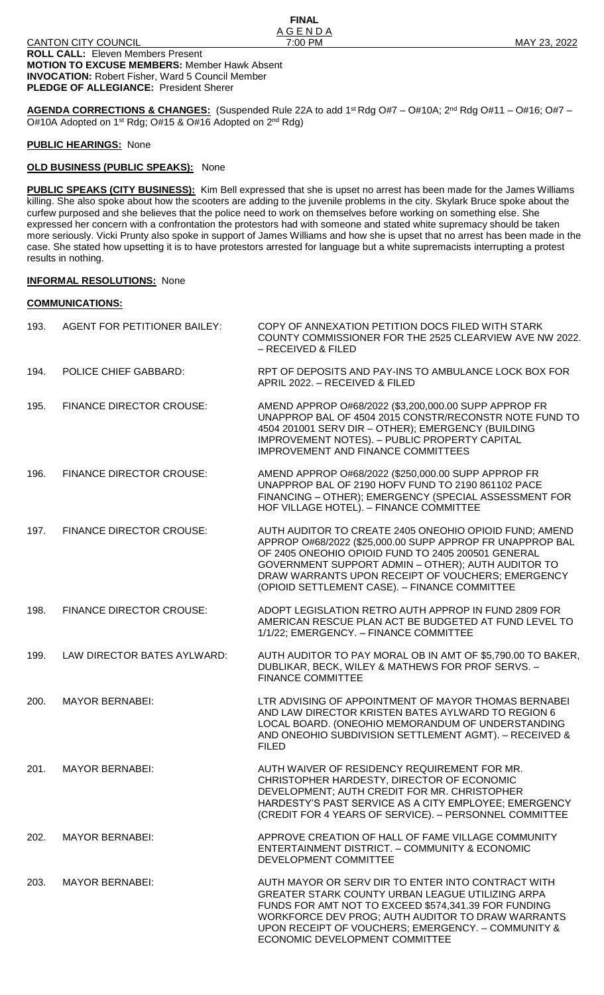**AGENDA CORRECTIONS & CHANGES:** (Suspended Rule 22A to add 1st Rdg O#7 – O#10A; 2<sup>nd</sup> Rdg O#11 – O#16; O#7 – O#10A Adopted on 1<sup>st</sup> Rdg; O#15 & O#16 Adopted on 2<sup>nd</sup> Rdg)

**FINAL**

#### **PUBLIC HEARINGS:** None

# **OLD BUSINESS (PUBLIC SPEAKS):** None

**PUBLIC SPEAKS (CITY BUSINESS):** Kim Bell expressed that she is upset no arrest has been made for the James Williams killing. She also spoke about how the scooters are adding to the juvenile problems in the city. Skylark Bruce spoke about the curfew purposed and she believes that the police need to work on themselves before working on something else. She expressed her concern with a confrontation the protestors had with someone and stated white supremacy should be taken more seriously. Vicki Prunty also spoke in support of James Williams and how she is upset that no arrest has been made in the case. She stated how upsetting it is to have protestors arrested for language but a white supremacists interrupting a protest results in nothing.

# **INFORMAL RESOLUTIONS:** None

#### **COMMUNICATIONS:**

| 193. | <b>AGENT FOR PETITIONER BAILEY:</b> | COPY OF ANNEXATION PETITION DOCS FILED WITH STARK<br>COUNTY COMMISSIONER FOR THE 2525 CLEARVIEW AVE NW 2022.<br>– RECEIVED & FILED                                                                                                                                                                                                    |
|------|-------------------------------------|---------------------------------------------------------------------------------------------------------------------------------------------------------------------------------------------------------------------------------------------------------------------------------------------------------------------------------------|
| 194. | POLICE CHIEF GABBARD:               | RPT OF DEPOSITS AND PAY-INS TO AMBULANCE LOCK BOX FOR<br>APRIL 2022. - RECEIVED & FILED                                                                                                                                                                                                                                               |
| 195. | <b>FINANCE DIRECTOR CROUSE:</b>     | AMEND APPROP 0#68/2022 (\$3,200,000.00 SUPP APPROP FR<br>UNAPPROP BAL OF 4504 2015 CONSTR/RECONSTR NOTE FUND TO<br>4504 201001 SERV DIR - OTHER); EMERGENCY (BUILDING<br>IMPROVEMENT NOTES). - PUBLIC PROPERTY CAPITAL<br><b>IMPROVEMENT AND FINANCE COMMITTEES</b>                                                                   |
| 196. | <b>FINANCE DIRECTOR CROUSE:</b>     | AMEND APPROP 0#68/2022 (\$250,000.00 SUPP APPROP FR<br>UNAPPROP BAL OF 2190 HOFV FUND TO 2190 861102 PACE<br>FINANCING - OTHER); EMERGENCY (SPECIAL ASSESSMENT FOR<br>HOF VILLAGE HOTEL). - FINANCE COMMITTEE                                                                                                                         |
| 197. | <b>FINANCE DIRECTOR CROUSE:</b>     | AUTH AUDITOR TO CREATE 2405 ONEOHIO OPIOID FUND; AMEND<br>APPROP O#68/2022 (\$25,000.00 SUPP APPROP FR UNAPPROP BAL<br>OF 2405 ONEOHIO OPIOID FUND TO 2405 200501 GENERAL<br>GOVERNMENT SUPPORT ADMIN - OTHER); AUTH AUDITOR TO<br>DRAW WARRANTS UPON RECEIPT OF VOUCHERS; EMERGENCY<br>(OPIOID SETTLEMENT CASE). - FINANCE COMMITTEE |
| 198. | <b>FINANCE DIRECTOR CROUSE:</b>     | ADOPT LEGISLATION RETRO AUTH APPROP IN FUND 2809 FOR<br>AMERICAN RESCUE PLAN ACT BE BUDGETED AT FUND LEVEL TO<br>1/1/22; EMERGENCY. - FINANCE COMMITTEE                                                                                                                                                                               |
| 199. | LAW DIRECTOR BATES AYLWARD:         | AUTH AUDITOR TO PAY MORAL OB IN AMT OF \$5,790.00 TO BAKER,<br>DUBLIKAR, BECK, WILEY & MATHEWS FOR PROF SERVS. -<br><b>FINANCE COMMITTEE</b>                                                                                                                                                                                          |
| 200. | <b>MAYOR BERNABEI:</b>              | LTR ADVISING OF APPOINTMENT OF MAYOR THOMAS BERNABEI<br>AND LAW DIRECTOR KRISTEN BATES AYLWARD TO REGION 6<br>LOCAL BOARD. (ONEOHIO MEMORANDUM OF UNDERSTANDING<br>AND ONEOHIO SUBDIVISION SETTLEMENT AGMT). - RECEIVED &<br><b>FILED</b>                                                                                             |
| 201. | <b>MAYOR BERNABEI:</b>              | AUTH WAIVER OF RESIDENCY REQUIREMENT FOR MR.<br>CHRISTOPHER HARDESTY, DIRECTOR OF ECONOMIC<br>DEVELOPMENT; AUTH CREDIT FOR MR. CHRISTOPHER<br>HARDESTY'S PAST SERVICE AS A CITY EMPLOYEE; EMERGENCY<br>(CREDIT FOR 4 YEARS OF SERVICE). - PERSONNEL COMMITTEE                                                                         |
| 202. | <b>MAYOR BERNABEI:</b>              | APPROVE CREATION OF HALL OF FAME VILLAGE COMMUNITY<br>ENTERTAINMENT DISTRICT. - COMMUNITY & ECONOMIC<br>DEVELOPMENT COMMITTEE                                                                                                                                                                                                         |
| 203. | <b>MAYOR BERNABEI:</b>              | AUTH MAYOR OR SERV DIR TO ENTER INTO CONTRACT WITH<br>GREATER STARK COUNTY URBAN LEAGUE UTILIZING ARPA<br>FUNDS FOR AMT NOT TO EXCEED \$574,341.39 FOR FUNDING<br>WORKFORCE DEV PROG; AUTH AUDITOR TO DRAW WARRANTS<br>UPON RECEIPT OF VOUCHERS; EMERGENCY. - COMMUNITY &<br>ECONOMIC DEVELOPMENT COMMITTEE                           |
|      |                                     |                                                                                                                                                                                                                                                                                                                                       |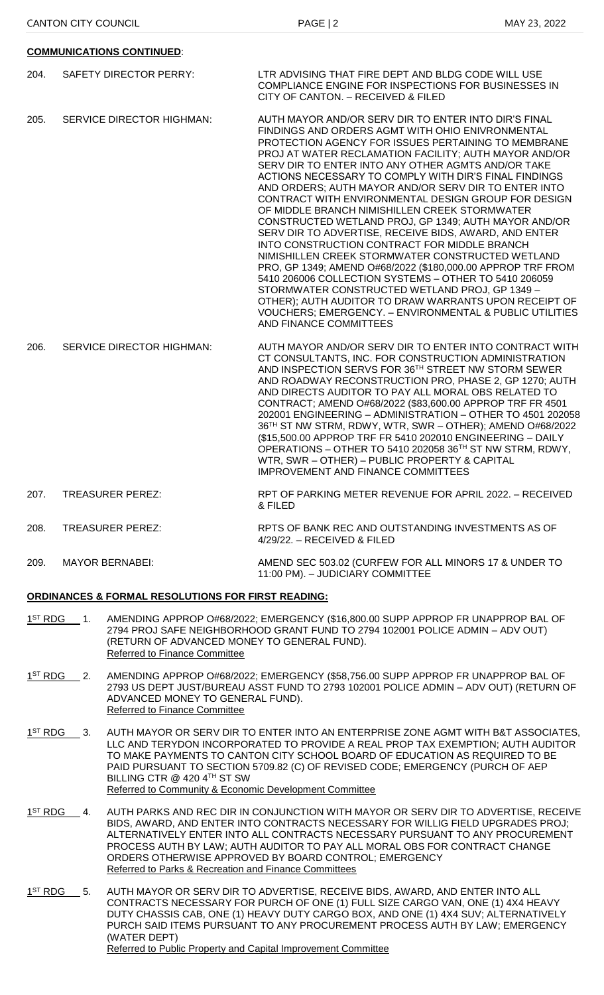# **COMMUNICATIONS CONTINUED**:

- 204. SAFETY DIRECTOR PERRY: LTR ADVISING THAT FIRE DEPT AND BLDG CODE WILL USE COMPLIANCE ENGINE FOR INSPECTIONS FOR BUSINESSES IN CITY OF CANTON. – RECEIVED & FILED
- 205. SERVICE DIRECTOR HIGHMAN: AUTH MAYOR AND/OR SERV DIR TO ENTER INTO DIR'S FINAL FINDINGS AND ORDERS AGMT WITH OHIO ENIVRONMENTAL PROTECTION AGENCY FOR ISSUES PERTAINING TO MEMBRANE PROJ AT WATER RECLAMATION FACILITY; AUTH MAYOR AND/OR SERV DIR TO ENTER INTO ANY OTHER AGMTS AND/OR TAKE ACTIONS NECESSARY TO COMPLY WITH DIR'S FINAL FINDINGS AND ORDERS; AUTH MAYOR AND/OR SERV DIR TO ENTER INTO CONTRACT WITH ENVIRONMENTAL DESIGN GROUP FOR DESIGN OF MIDDLE BRANCH NIMISHILLEN CREEK STORMWATER CONSTRUCTED WETLAND PROJ, GP 1349; AUTH MAYOR AND/OR SERV DIR TO ADVERTISE, RECEIVE BIDS, AWARD, AND ENTER INTO CONSTRUCTION CONTRACT FOR MIDDLE BRANCH NIMISHILLEN CREEK STORMWATER CONSTRUCTED WETLAND PRO, GP 1349; AMEND O#68/2022 (\$180,000.00 APPROP TRF FROM 5410 206006 COLLECTION SYSTEMS – OTHER TO 5410 206059 STORMWATER CONSTRUCTED WETLAND PROJ, GP 1349 – OTHER); AUTH AUDITOR TO DRAW WARRANTS UPON RECEIPT OF VOUCHERS; EMERGENCY. – ENVIRONMENTAL & PUBLIC UTILITIES AND FINANCE COMMITTEES
- 206. SERVICE DIRECTOR HIGHMAN: AUTH MAYOR AND/OR SERV DIR TO ENTER INTO CONTRACT WITH CT CONSULTANTS, INC. FOR CONSTRUCTION ADMINISTRATION AND INSPECTION SERVS FOR 36TH STREET NW STORM SEWER AND ROADWAY RECONSTRUCTION PRO, PHASE 2, GP 1270; AUTH AND DIRECTS AUDITOR TO PAY ALL MORAL OBS RELATED TO CONTRACT; AMEND O#68/2022 (\$83,600.00 APPROP TRF FR 4501 202001 ENGINEERING – ADMINISTRATION – OTHER TO 4501 202058 36TH ST NW STRM, RDWY, WTR, SWR – OTHER); AMEND O#68/2022 (\$15,500.00 APPROP TRF FR 5410 202010 ENGINEERING – DAILY OPERATIONS – OTHER TO 5410 202058 36TH ST NW STRM, RDWY, WTR, SWR – OTHER) – PUBLIC PROPERTY & CAPITAL IMPROVEMENT AND FINANCE COMMITTEES
- 207. TREASURER PEREZ: RPT OF PARKING METER REVENUE FOR APRIL 2022. RECEIVED & FILED
- 208. TREASURER PEREZ: RPTS OF BANK REC AND OUTSTANDING INVESTMENTS AS OF 4/29/22. – RECEIVED & FILED
- 209. MAYOR BERNABEI: AMEND SEC 503.02 (CURFEW FOR ALL MINORS 17 & UNDER TO 11:00 PM). – JUDICIARY COMMITTEE

# **ORDINANCES & FORMAL RESOLUTIONS FOR FIRST READING:**

- $1^{ST}$  RDG 1. AMENDING APPROP O#68/2022; EMERGENCY (\$16,800.00 SUPP APPROP FR UNAPPROP BAL OF 2794 PROJ SAFE NEIGHBORHOOD GRANT FUND TO 2794 102001 POLICE ADMIN – ADV OUT) (RETURN OF ADVANCED MONEY TO GENERAL FUND). Referred to Finance Committee
- $1^{\text{ST}}$  RDG 2. AMENDING APPROP O#68/2022; EMERGENCY (\$58,756.00 SUPP APPROP FR UNAPPROP BAL OF 2793 US DEPT JUST/BUREAU ASST FUND TO 2793 102001 POLICE ADMIN – ADV OUT) (RETURN OF ADVANCED MONEY TO GENERAL FUND). Referred to Finance Committee
- $1^{ST}$  RDG 3. AUTH MAYOR OR SERV DIR TO ENTER INTO AN ENTERPRISE ZONE AGMT WITH B&T ASSOCIATES, LLC AND TERYDON INCORPORATED TO PROVIDE A REAL PROP TAX EXEMPTION; AUTH AUDITOR TO MAKE PAYMENTS TO CANTON CITY SCHOOL BOARD OF EDUCATION AS REQUIRED TO BE PAID PURSUANT TO SECTION 5709.82 (C) OF REVISED CODE; EMERGENCY (PURCH OF AEP BILLING CTR @ 420 4TH ST SW Referred to Community & Economic Development Committee
- $1<sup>ST</sup> RDG 4.$ AUTH PARKS AND REC DIR IN CONJUNCTION WITH MAYOR OR SERV DIR TO ADVERTISE, RECEIVE BIDS, AWARD, AND ENTER INTO CONTRACTS NECESSARY FOR WILLIG FIELD UPGRADES PROJ; ALTERNATIVELY ENTER INTO ALL CONTRACTS NECESSARY PURSUANT TO ANY PROCUREMENT PROCESS AUTH BY LAW; AUTH AUDITOR TO PAY ALL MORAL OBS FOR CONTRACT CHANGE ORDERS OTHERWISE APPROVED BY BOARD CONTROL; EMERGENCY Referred to Parks & Recreation and Finance Committees
- $1<sup>ST</sup> RDG 5.$ AUTH MAYOR OR SERV DIR TO ADVERTISE, RECEIVE BIDS, AWARD, AND ENTER INTO ALL CONTRACTS NECESSARY FOR PURCH OF ONE (1) FULL SIZE CARGO VAN, ONE (1) 4X4 HEAVY DUTY CHASSIS CAB, ONE (1) HEAVY DUTY CARGO BOX, AND ONE (1) 4X4 SUV; ALTERNATIVELY PURCH SAID ITEMS PURSUANT TO ANY PROCUREMENT PROCESS AUTH BY LAW; EMERGENCY (WATER DEPT) Referred to Public Property and Capital Improvement Committee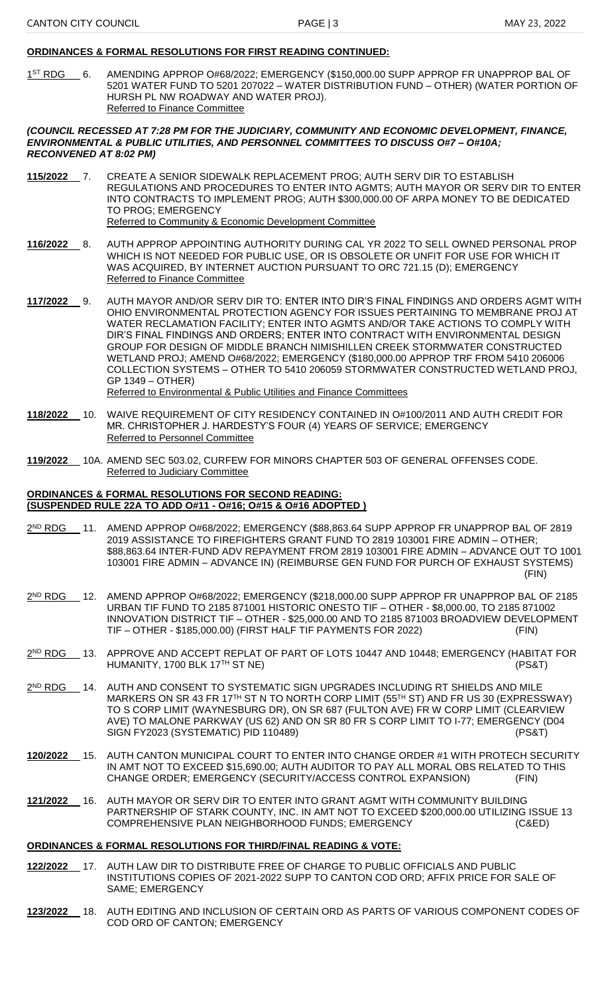#### **ORDINANCES & FORMAL RESOLUTIONS FOR FIRST READING CONTINUED:**

 $1<sup>ST</sup> RDG$  6. AMENDING APPROP O#68/2022; EMERGENCY (\$150,000.00 SUPP APPROP FR UNAPPROP BAL OF 5201 WATER FUND TO 5201 207022 – WATER DISTRIBUTION FUND – OTHER) (WATER PORTION OF HURSH PL NW ROADWAY AND WATER PROJ). Referred to Finance Committee

#### *(COUNCIL RECESSED AT 7:28 PM FOR THE JUDICIARY, COMMUNITY AND ECONOMIC DEVELOPMENT, FINANCE, ENVIRONMENTAL & PUBLIC UTILITIES, AND PERSONNEL COMMITTEES TO DISCUSS O#7 – O#10A; RECONVENED AT 8:02 PM)*

**115/2022** 7. CREATE A SENIOR SIDEWALK REPLACEMENT PROG; AUTH SERV DIR TO ESTABLISH REGULATIONS AND PROCEDURES TO ENTER INTO AGMTS; AUTH MAYOR OR SERV DIR TO ENTER INTO CONTRACTS TO IMPLEMENT PROG; AUTH \$300,000.00 OF ARPA MONEY TO BE DEDICATED TO PROG; EMERGENCY Referred to Community & Economic Development Committee

**116/2022** 8. AUTH APPROP APPOINTING AUTHORITY DURING CAL YR 2022 TO SELL OWNED PERSONAL PROP WHICH IS NOT NEEDED FOR PUBLIC USE, OR IS OBSOLETE OR UNFIT FOR USE FOR WHICH IT

WAS ACQUIRED, BY INTERNET AUCTION PURSUANT TO ORC 721.15 (D); EMERGENCY Referred to Finance Committee

**117/2022** 9. AUTH MAYOR AND/OR SERV DIR TO: ENTER INTO DIR'S FINAL FINDINGS AND ORDERS AGMT WITH OHIO ENVIRONMENTAL PROTECTION AGENCY FOR ISSUES PERTAINING TO MEMBRANE PROJ AT WATER RECLAMATION FACILITY; ENTER INTO AGMTS AND/OR TAKE ACTIONS TO COMPLY WITH DIR'S FINAL FINDINGS AND ORDERS; ENTER INTO CONTRACT WITH ENVIRONMENTAL DESIGN GROUP FOR DESIGN OF MIDDLE BRANCH NIMISHILLEN CREEK STORMWATER CONSTRUCTED WETLAND PROJ; AMEND O#68/2022; EMERGENCY (\$180,000.00 APPROP TRF FROM 5410 206006 COLLECTION SYSTEMS – OTHER TO 5410 206059 STORMWATER CONSTRUCTED WETLAND PROJ, GP 1349 – OTHER) Referred to Environmental & Public Utilities and Finance Committees

- **118/2022** 10. WAIVE REQUIREMENT OF CITY RESIDENCY CONTAINED IN O#100/2011 AND AUTH CREDIT FOR MR. CHRISTOPHER J. HARDESTY'S FOUR (4) YEARS OF SERVICE; EMERGENCY Referred to Personnel Committee
- **119/2022** 10A. AMEND SEC 503.02, CURFEW FOR MINORS CHAPTER 503 OF GENERAL OFFENSES CODE. Referred to Judiciary Committee

#### **ORDINANCES & FORMAL RESOLUTIONS FOR SECOND READING: (SUSPENDED RULE 22A TO ADD O#11 - O#16; O#15 & O#16 ADOPTED )**

- $2<sup>ND</sup>$  RDG \_11. AMEND APPROP O#68/2022; EMERGENCY (\$88,863.64 SUPP APPROP FR UNAPPROP BAL OF 2819 2019 ASSISTANCE TO FIREFIGHTERS GRANT FUND TO 2819 103001 FIRE ADMIN – OTHER; \$88,863.64 INTER-FUND ADV REPAYMENT FROM 2819 103001 FIRE ADMIN – ADVANCE OUT TO 1001 103001 FIRE ADMIN – ADVANCE IN) (REIMBURSE GEN FUND FOR PURCH OF EXHAUST SYSTEMS) (FIN)
- 2 ND RDG 12. AMEND APPROP O#68/2022; EMERGENCY (\$218,000.00 SUPP APPROP FR UNAPPROP BAL OF 2185 URBAN TIF FUND TO 2185 871001 HISTORIC ONESTO TIF – OTHER - \$8,000.00, TO 2185 871002 INNOVATION DISTRICT TIF – OTHER - \$25,000.00 AND TO 2185 871003 BROADVIEW DEVELOPMENT TIF – OTHER - \$185,000.00) (FIRST HALF TIF PAYMENTS FOR 2022) (FIN)

<u>2<sup>ND</sup> RDG \_\_</u> 13. APPROVE AND ACCEPT REPLAT OF PART OF LOTS 10447 AND 10448; EMERGENCY (HABITAT FOR HUMANITY, 1700 BLK 17<sup>TH</sup> ST NE) (PS&T)

- 2<sup>ND</sup> RDG \_\_ 14. AUTH AND CONSENT TO SYSTEMATIC SIGN UPGRADES INCLUDING RT SHIELDS AND MILE MARKERS ON SR 43 FR 17TH ST N TO NORTH CORP LIMIT (55TH ST) AND FR US 30 (EXPRESSWAY) TO S CORP LIMIT (WAYNESBURG DR), ON SR 687 (FULTON AVE) FR W CORP LIMIT (CLEARVIEW AVE) TO MALONE PARKWAY (US 62) AND ON SR 80 FR S CORP LIMIT TO I-77; EMERGENCY (D04 SIGN FY2023 (SYSTEMATIC) PID 110489) (PS&T)
- **120/2022** 15. AUTH CANTON MUNICIPAL COURT TO ENTER INTO CHANGE ORDER #1 WITH PROTECH SECURITY IN AMT NOT TO EXCEED \$15,690.00; AUTH AUDITOR TO PAY ALL MORAL OBS RELATED TO THIS CHANGE ORDER; EMERGENCY (SECURITY/ACCESS CONTROL EXPANSION) (FIN)
- **121/2022** 16. AUTH MAYOR OR SERV DIR TO ENTER INTO GRANT AGMT WITH COMMUNITY BUILDING PARTNERSHIP OF STARK COUNTY, INC. IN AMT NOT TO EXCEED \$200,000.00 UTILIZING ISSUE 13 COMPREHENSIVE PLAN NEIGHBORHOOD FUNDS; EMERGENCY (C&ED)

# **ORDINANCES & FORMAL RESOLUTIONS FOR THIRD/FINAL READING & VOTE:**

- **122/2022** 17. AUTH LAW DIR TO DISTRIBUTE FREE OF CHARGE TO PUBLIC OFFICIALS AND PUBLIC INSTITUTIONS COPIES OF 2021-2022 SUPP TO CANTON COD ORD; AFFIX PRICE FOR SALE OF SAME; EMERGENCY
- **123/2022** 18. AUTH EDITING AND INCLUSION OF CERTAIN ORD AS PARTS OF VARIOUS COMPONENT CODES OF COD ORD OF CANTON; EMERGENCY